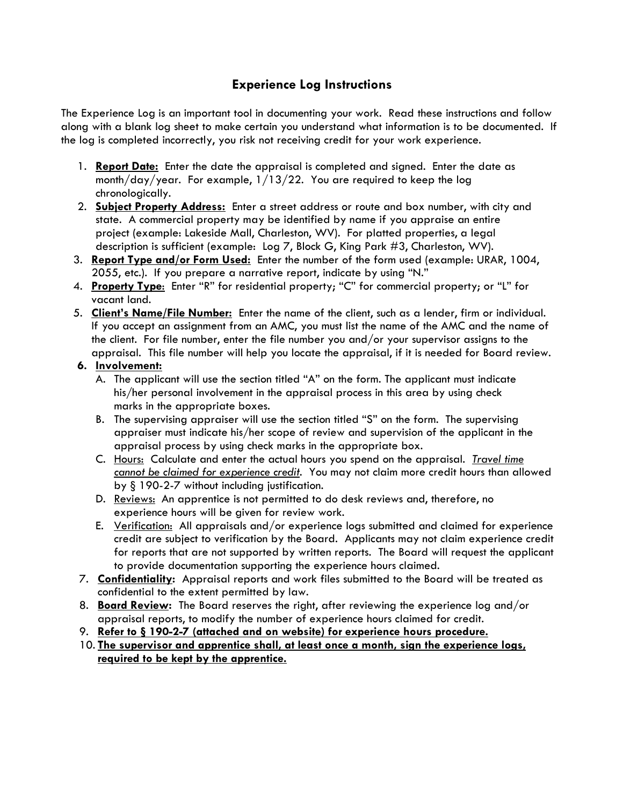## **Experience Log Instructions**

The Experience Log is an important tool in documenting your work. Read these instructions and follow along with a blank log sheet to make certain you understand what information is to be documented. If the log is completed incorrectly, you risk not receiving credit for your work experience.

- 1. **Report Date:** Enter the date the appraisal is completed and signed. Enter the date as month/day/year. For example, 1/13/22. You are required to keep the log chronologically.
- 2. **Subject Property Address:** Enter a street address or route and box number, with city and state. A commercial property may be identified by name if you appraise an entire project (example: Lakeside Mall, Charleston, WV). For platted properties, a legal description is sufficient (example: Log 7, Block G, King Park #3, Charleston, WV).
- 3. **Report Type and/or Form Used:** Enter the number of the form used (example: URAR, 1004, 2055, etc.). If you prepare a narrative report, indicate by using "N."
- 4. **Property Type**: Enter "R" for residential property; "C" for commercial property; or "L" for vacant land.
- 5. **Client's Name/File Number:** Enter the name of the client, such as a lender, firm or individual. If you accept an assignment from an AMC, you must list the name of the AMC and the name of the client. For file number, enter the file number you and/or your supervisor assigns to the appraisal. This file number will help you locate the appraisal, if it is needed for Board review.
- **6. Involvement:**
	- A. The applicant will use the section titled "A" on the form. The applicant must indicate his/her personal involvement in the appraisal process in this area by using check marks in the appropriate boxes.
	- B. The supervising appraiser will use the section titled "S" on the form. The supervising appraiser must indicate his/her scope of review and supervision of the applicant in the appraisal process by using check marks in the appropriate box.
	- C. Hours: Calculate and enter the actual hours you spend on the appraisal. *Travel time cannot be claimed for experience credit.* You may not claim more credit hours than allowed by § 190-2-7 without including justification.
	- D. Reviews: An apprentice is not permitted to do desk reviews and, therefore, no experience hours will be given for review work.
	- E. Verification: All appraisals and/or experience logs submitted and claimed for experience credit are subject to verification by the Board. Applicants may not claim experience credit for reports that are not supported by written reports. The Board will request the applicant to provide documentation supporting the experience hours claimed.
- 7. **Confidentiality:** Appraisal reports and work files submitted to the Board will be treated as confidential to the extent permitted by law.
- 8. **Board Review:** The Board reserves the right, after reviewing the experience log and/or appraisal reports, to modify the number of experience hours claimed for credit.
- 9. **Refer to § 190-2-7 (attached and on website) for experience hours procedure.**
- 10. **The supervisor and apprentice shall, at least once a month, sign the experience logs, required to be kept by the apprentice.**